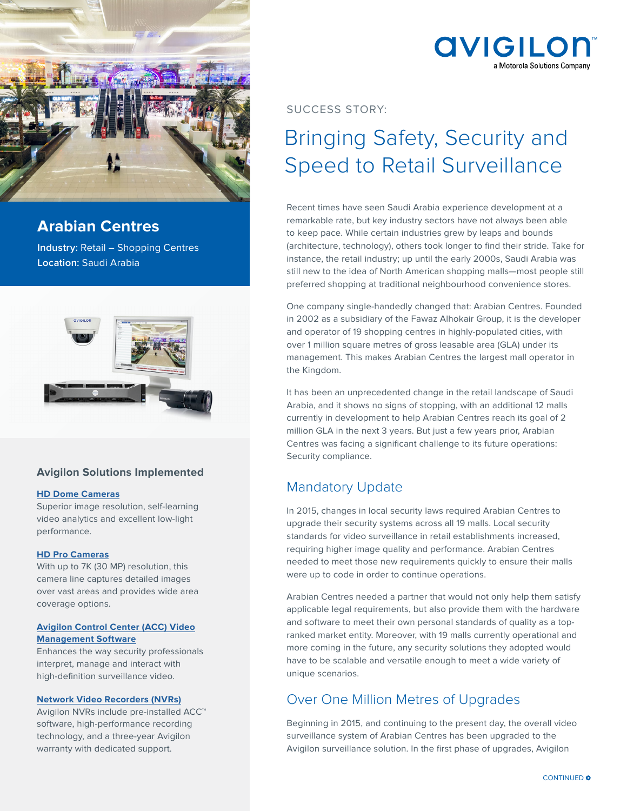

## **Arabian Centres**

**Industry:** Retail – Shopping Centres **Location:** Saudi Arabia



### **Avigilon Solutions Implemented**

### **[HD Dome Cameras](http://avigilon.com/hd-domes)**

Superior image resolution, self-learning video analytics and excellent low-light performance.

### **[HD Pro Camera](http://avigilon.com/7k)s**

With up to 7K (30 MP) resolution, this camera line captures detailed images over vast areas and provides wide area coverage options.

### **[Avigilon Control Center \(ACC\) Video](http://avigilon.com/acc) [Management Software](http://avigilon.com/acc)**

Enhances the way security professionals interpret, manage and interact with high-definition surveillance video.

### **[Network Video Recorders \(NVRs\)](http://avigilon.com/nvr)**

Avigilon NVRs include pre-installed ACC™ software, high-performance recording technology, and a three-year Avigilon warranty with dedicated support.

## **AVIGILOI** a Motorola Solutions Company

SUCCESS STORY:

# Bringing Safety, Security and Speed to Retail Surveillance

Recent times have seen Saudi Arabia experience development at a remarkable rate, but key industry sectors have not always been able to keep pace. While certain industries grew by leaps and bounds (architecture, technology), others took longer to find their stride. Take for instance, the retail industry; up until the early 2000s, Saudi Arabia was still new to the idea of North American shopping malls—most people still preferred shopping at traditional neighbourhood convenience stores.

One company single-handedly changed that: Arabian Centres. Founded in 2002 as a subsidiary of the Fawaz Alhokair Group, it is the developer and operator of 19 shopping centres in highly-populated cities, with over 1 million square metres of gross leasable area (GLA) under its management. This makes Arabian Centres the largest mall operator in the Kingdom.

It has been an unprecedented change in the retail landscape of Saudi Arabia, and it shows no signs of stopping, with an additional 12 malls currently in development to help Arabian Centres reach its goal of 2 million GLA in the next 3 years. But just a few years prior, Arabian Centres was facing a significant challenge to its future operations: Security compliance.

## Mandatory Update

In 2015, changes in local security laws required Arabian Centres to upgrade their security systems across all 19 malls. Local security standards for video surveillance in retail establishments increased, requiring higher image quality and performance. Arabian Centres needed to meet those new requirements quickly to ensure their malls were up to code in order to continue operations.

Arabian Centres needed a partner that would not only help them satisfy applicable legal requirements, but also provide them with the hardware and software to meet their own personal standards of quality as a topranked market entity. Moreover, with 19 malls currently operational and more coming in the future, any security solutions they adopted would have to be scalable and versatile enough to meet a wide variety of unique scenarios.

### Over One Million Metres of Upgrades

Beginning in 2015, and continuing to the present day, the overall video surveillance system of Arabian Centres has been upgraded to the Avigilon surveillance solution. In the first phase of upgrades, Avigilon